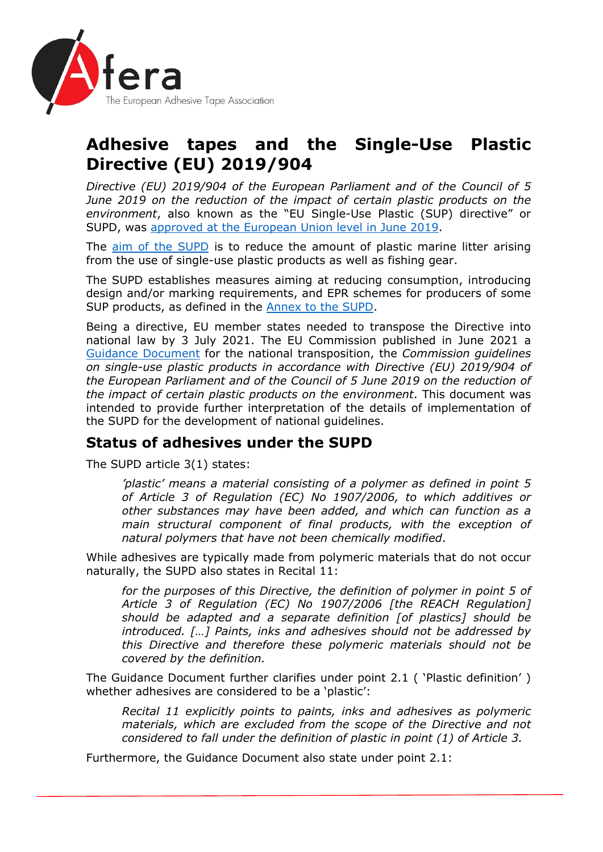

# **Adhesive tapes and the Single-Use Plastic Directive (EU) 2019/904**

*Directive (EU) 2019/904 of the European Parliament and of the Council of 5 June 2019 on the reduction of the impact of certain plastic products on the environment*, also known as the "EU Single-Use Plastic (SUP) directive" or SUPD, was [approved at the European Union level in June 2019](https://eur-lex.europa.eu/eli/dir/2019/904/oj).

The [aim of the SUPD](https://ec.europa.eu/environment/topics/plastics/single-use-plastics_en) is to reduce the amount of plastic marine litter arising from the use of single-use plastic products as well as fishing gear.

The SUPD establishes measures aiming at reducing consumption, introducing design and/or marking requirements, and EPR schemes for producers of some SUP products, as defined in the [Annex to the SUPD.](https://eur-lex.europa.eu/eli/dir/2019/904/oj#d1e32-17-1)

Being a directive, EU member states needed to transpose the Directive into national law by 3 July 2021. The EU Commission published in June 2021 a [Guidance Document](https://eur-lex.europa.eu/legal-content/EN/TXT/?uri=uriserv%3AOJ.C_.2021.216.01.0001.01.ENG&toc=OJ%3AC%3A2021%3A216%3ATOC) for the national transposition, the *Commission guidelines on single-use plastic products in accordance with Directive (EU) 2019/904 of the European Parliament and of the Council of 5 June 2019 on the reduction of the impact of certain plastic products on the environment*. This document was intended to provide further interpretation of the details of implementation of the SUPD for the development of national guidelines.

## **Status of adhesives under the SUPD**

The SUPD article 3(1) states:

*'plastic' means a material consisting of a polymer as defined in point 5 of Article 3 of Regulation (EC) No 1907/2006, to which additives or other substances may have been added, and which can function as a main structural component of final products, with the exception of natural polymers that have not been chemically modified*.

While adhesives are typically made from polymeric materials that do not occur naturally, the SUPD also states in Recital 11:

*for the purposes of this Directive, the definition of polymer in point 5 of Article 3 of Regulation (EC) No 1907/2006 [the REACH Regulation] should be adapted and a separate definition [of plastics] should be introduced. […] Paints, inks and adhesives should not be addressed by this Directive and therefore these polymeric materials should not be covered by the definition.*

The Guidance Document further clarifies under point 2.1 ( 'Plastic definition' ) whether adhesives are considered to be a 'plastic':

*Recital 11 explicitly points to paints, inks and adhesives as polymeric materials, which are excluded from the scope of the Directive and not considered to fall under the definition of plastic in point (1) of Article 3.*

Furthermore, the Guidance Document also state under point 2.1: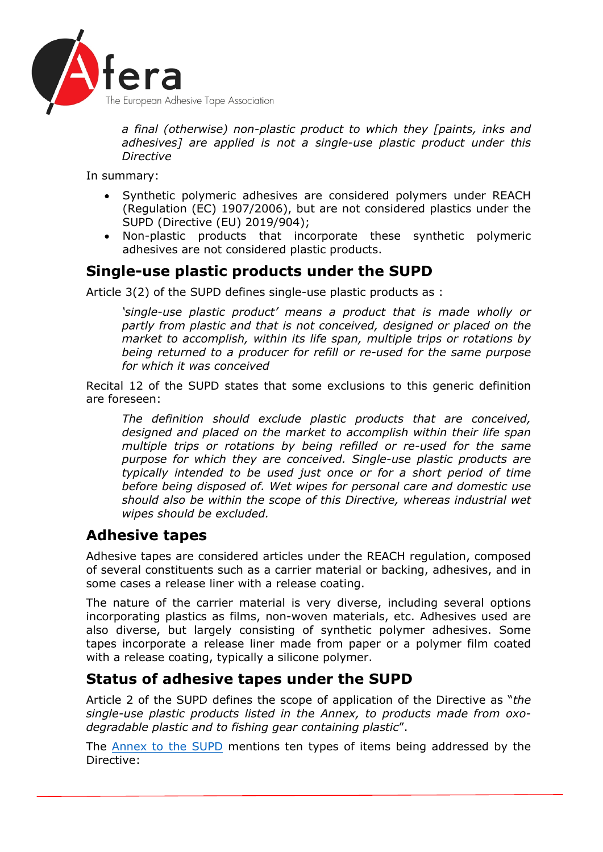

*a final (otherwise) non-plastic product to which they [paints, inks and adhesives] are applied is not a single-use plastic product under this Directive*

In summary:

- Synthetic polymeric adhesives are considered polymers under REACH (Regulation (EC) 1907/2006), but are not considered plastics under the SUPD (Directive (EU) 2019/904);
- Non-plastic products that incorporate these synthetic polymeric adhesives are not considered plastic products.

# **Single-use plastic products under the SUPD**

Article 3(2) of the SUPD defines single-use plastic products as :

*'single-use plastic product' means a product that is made wholly or partly from plastic and that is not conceived, designed or placed on the market to accomplish, within its life span, multiple trips or rotations by being returned to a producer for refill or re-used for the same purpose for which it was conceived*

Recital 12 of the SUPD states that some exclusions to this generic definition are foreseen:

*The definition should exclude plastic products that are conceived, designed and placed on the market to accomplish within their life span multiple trips or rotations by being refilled or re-used for the same purpose for which they are conceived. Single-use plastic products are typically intended to be used just once or for a short period of time before being disposed of. Wet wipes for personal care and domestic use should also be within the scope of this Directive, whereas industrial wet wipes should be excluded.*

#### **Adhesive tapes**

Adhesive tapes are considered articles under the REACH regulation, composed of several constituents such as a carrier material or backing, adhesives, and in some cases a release liner with a release coating.

The nature of the carrier material is very diverse, including several options incorporating plastics as films, non-woven materials, etc. Adhesives used are also diverse, but largely consisting of synthetic polymer adhesives. Some tapes incorporate a release liner made from paper or a polymer film coated with a release coating, typically a silicone polymer.

## **Status of adhesive tapes under the SUPD**

Article 2 of the SUPD defines the scope of application of the Directive as "*the single-use plastic products listed in the Annex, to products made from oxodegradable plastic and to fishing gear containing plastic*".

The [Annex to the SUPD](https://eur-lex.europa.eu/eli/dir/2019/904/oj#d1e32-17-1) mentions ten types of items being addressed by the Directive: